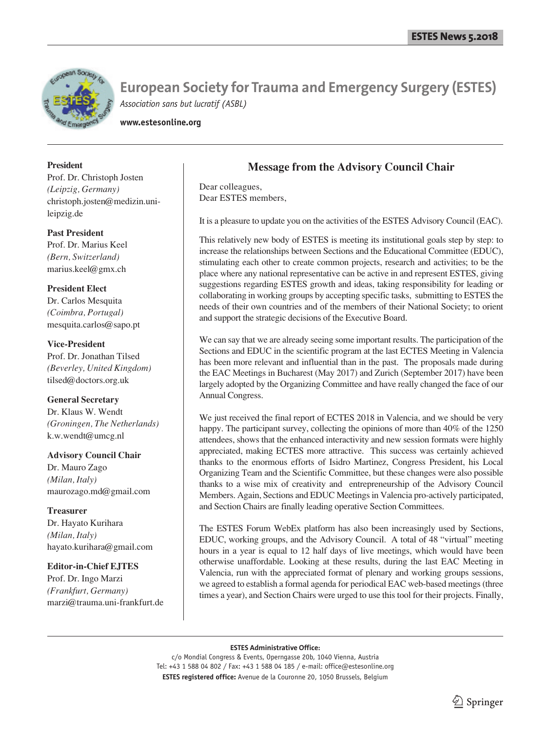

**www.estesonline.org**

# **President**

Prof. Dr. Christoph Josten *(Leipzig, Germany)* christoph.josten@medizin.unileipzig.de

**Past President** Prof. Dr. Marius Keel

*(Bern, Switzerland)* marius.keel@gmx.ch

**President Elect**

Dr. Carlos Mesquita *(Coimbra, Portugal)* mesquita.carlos@sapo.pt

# **Vice-President**

Prof. Dr. Jonathan Tilsed *(Beverley, United Kingdom)* tilsed@doctors.org.uk

# **General Secretary**

Dr. Klaus W. Wendt *(Groningen, The Netherlands)* k.w.wendt@umcg.nl

### **Advisory Council Chair**

Dr. Mauro Zago *(Milan, Italy)* maurozago.md@gmail.com

# **Treasurer**

Dr. Hayato Kurihara *(Milan, Italy)* hayato.kurihara@gmail.com

# **Editor-in-Chief EJTES**

Prof. Dr. Ingo Marzi *(Frankfurt, Germany)* marzi@trauma.uni-frankfurt.de

# **Message from the Advisory Council Chair**

Dear colleagues, Dear ESTES members,

It is a pleasure to update you on the activities of the ESTES Advisory Council (EAC).

This relatively new body of ESTES is meeting its institutional goals step by step: to increase the relationships between Sections and the Educational Committee (EDUC), stimulating each other to create common projects, research and activities; to be the place where any national representative can be active in and represent ESTES, giving suggestions regarding ESTES growth and ideas, taking responsibility for leading or collaborating in working groups by accepting specific tasks, submitting to ESTES the needs of their own countries and of the members of their National Society; to orient and support the strategic decisions of the Executive Board.

We can say that we are already seeing some important results. The participation of the Sections and EDUC in the scientific program at the last ECTES Meeting in Valencia has been more relevant and influential than in the past. The proposals made during the EAC Meetings in Bucharest (May 2017) and Zurich (September 2017) have been largely adopted by the Organizing Committee and have really changed the face of our Annual Congress.

We just received the final report of ECTES 2018 in Valencia, and we should be very happy. The participant survey, collecting the opinions of more than 40% of the 1250 attendees, shows that the enhanced interactivity and new session formats were highly appreciated, making ECTES more attractive. This success was certainly achieved thanks to the enormous efforts of Isidro Martinez, Congress President, his Local Organizing Team and the Scientific Committee, but these changes were also possible thanks to a wise mix of creativity and entrepreneurship of the Advisory Council Members. Again, Sections and EDUC Meetings in Valencia pro-actively participated, and Section Chairs are finally leading operative Section Committees.

The ESTES Forum WebEx platform has also been increasingly used by Sections, EDUC, working groups, and the Advisory Council. A total of 48 "virtual" meeting hours in a year is equal to 12 half days of live meetings, which would have been otherwise unaffordable. Looking at these results, during the last EAC Meeting in Valencia, run with the appreciated format of plenary and working groups sessions, we agreed to establish a formal agenda for periodical EAC web-based meetings (three times a year), and Section Chairs were urged to use this tool for their projects. Finally,

### **ESTES Administrative Office:**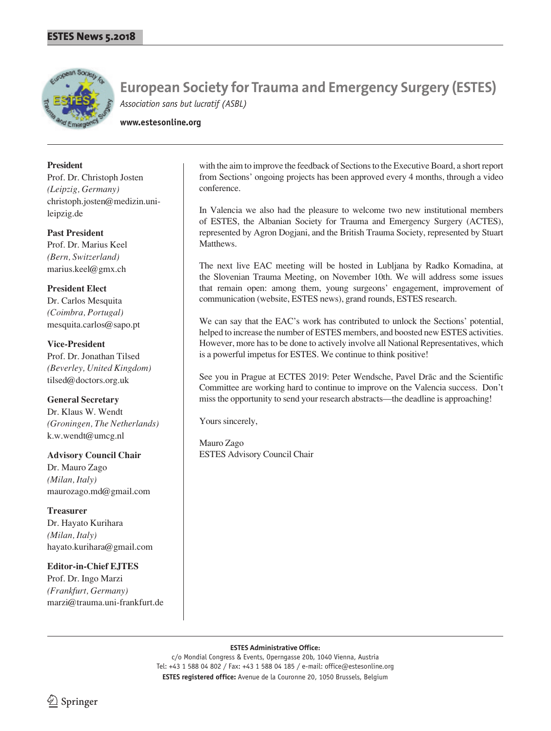

**www.estesonline.org**

# **President**

Prof. Dr. Christoph Josten *(Leipzig, Germany)* christoph.josten@medizin.unileipzig.de

### **Past President**

Prof. Dr. Marius Keel *(Bern, Switzerland)* marius.keel@gmx.ch

### **President Elect**

Dr. Carlos Mesquita *(Coimbra, Portugal)* mesquita.carlos@sapo.pt

### **Vice-President**

Prof. Dr. Jonathan Tilsed *(Beverley, United Kingdom)* tilsed@doctors.org.uk

### **General Secretary**

Dr. Klaus W. Wendt *(Groningen, The Netherlands)* k.w.wendt@umcg.nl

# **Advisory Council Chair**

Dr. Mauro Zago *(Milan, Italy)* maurozago.md@gmail.com

**Treasurer** Dr. Hayato Kurihara *(Milan, Italy)* hayato.kurihara@gmail.com

**Editor-in-Chief EJTES** Prof. Dr. Ingo Marzi *(Frankfurt, Germany)* marzi@trauma.uni-frankfurt.de

with the aim to improve the feedback of Sections to the Executive Board, a short report from Sections' ongoing projects has been approved every 4 months, through a video conference.

In Valencia we also had the pleasure to welcome two new institutional members of ESTES, the Albanian Society for Trauma and Emergency Surgery (ACTES), represented by Agron Dogjani, and the British Trauma Society, represented by Stuart Matthews.

The next live EAC meeting will be hosted in Lubljana by Radko Komadina, at the Slovenian Trauma Meeting, on November 10th. We will address some issues that remain open: among them, young surgeons' engagement, improvement of communication (website, ESTES news), grand rounds, ESTES research.

We can say that the EAC's work has contributed to unlock the Sections' potential, helped to increase the number of ESTES members, and boosted new ESTES activities. However, more has to be done to actively involve all National Representatives, which is a powerful impetus for ESTES. We continue to think positive!

See you in Prague at ECTES 2019: Peter Wendsche, Pavel Drāc and the Scientific Committee are working hard to continue to improve on the Valencia success. Don't miss the opportunity to send your research abstracts—the deadline is approaching!

Yours sincerely,

Mauro Zago ESTES Advisory Council Chair

#### **ESTES Administrative Office:**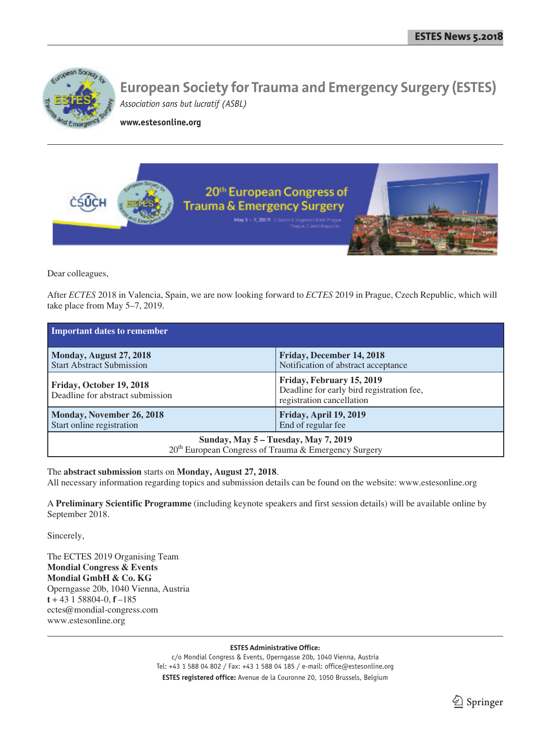

**www.estesonline.org**



Dear colleagues,

After *ECTES* 2018 in Valencia, Spain, we are now looking forward to *ECTES* 2019 in Prague, Czech Republic, which will take place from May 5–7, 2019.

| Important dates to remember                                                                              |                                                                                                     |
|----------------------------------------------------------------------------------------------------------|-----------------------------------------------------------------------------------------------------|
| Monday, August 27, 2018<br><b>Start Abstract Submission</b>                                              | Friday, December 14, 2018<br>Notification of abstract acceptance                                    |
| Friday, October 19, 2018<br>Deadline for abstract submission                                             | Friday, February 15, 2019<br>Deadline for early bird registration fee,<br>registration cancellation |
| Monday, November 26, 2018<br>Start online registration                                                   | Friday, April 19, 2019<br>End of regular fee                                                        |
| Sunday, May 5 – Tuesday, May 7, 2019<br>20 <sup>th</sup> European Congress of Trauma & Emergency Surgery |                                                                                                     |

# The **abstract submission** starts on **Monday, August 27, 2018**.

All necessary information regarding topics and submission details can be found on the website: www.estesonline.org

A **Preliminary Scientific Programme** (including keynote speakers and first session details) will be available online by September 2018.

Sincerely,

The ECTES 2019 Organising Team **Mondial Congress & Events Mondial GmbH & Co. KG** Operngasse 20b, 1040 Vienna, Austria **t** + 43 1 58804-0, **f** –185 ectes@mondial-congress.com www.estesonline.org

**ESTES Administrative Office:**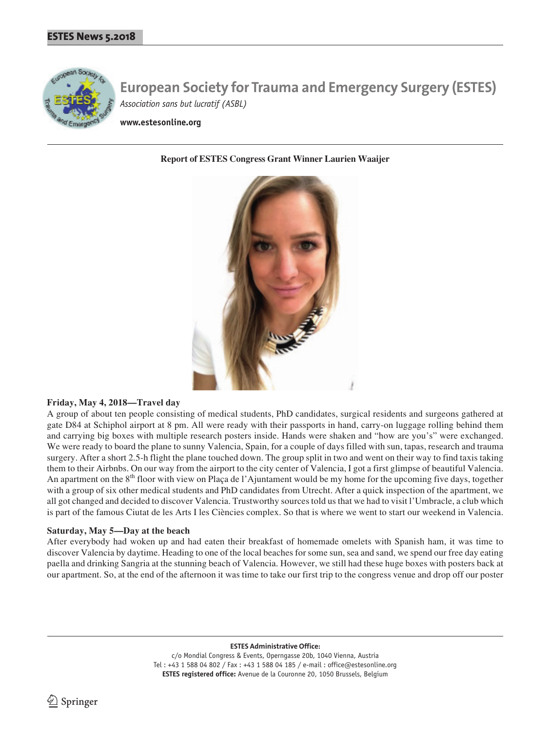

**www.estesonline.org**

### **Report of ESTES Congress Grant Winner Laurien Waaijer**



### **Friday, May 4, 2018—Travel day**

A group of about ten people consisting of medical students, PhD candidates, surgical residents and surgeons gathered at gate D84 at Schiphol airport at 8 pm. All were ready with their passports in hand, carry-on luggage rolling behind them and carrying big boxes with multiple research posters inside. Hands were shaken and "how are you's" were exchanged. We were ready to board the plane to sunny Valencia, Spain, for a couple of days filled with sun, tapas, research and trauma surgery. After a short 2.5-h flight the plane touched down. The group split in two and went on their way to find taxis taking them to their Airbnbs. On our way from the airport to the city center of Valencia, I got a first glimpse of beautiful Valencia. An apartment on the  $8<sup>th</sup>$  floor with view on Plaça de l'Ajuntament would be my home for the upcoming five days, together with a group of six other medical students and PhD candidates from Utrecht. After a quick inspection of the apartment, we all got changed and decided to discover Valencia. Trustworthy sources told us that we had to visit l'Umbracle, a club which is part of the famous Ciutat de les Arts I les Ciències complex. So that is where we went to start our weekend in Valencia.

### **Saturday, May 5—Day at the beach**

After everybody had woken up and had eaten their breakfast of homemade omelets with Spanish ham, it was time to discover Valencia by daytime. Heading to one of the local beaches for some sun, sea and sand, we spend our free day eating paella and drinking Sangria at the stunning beach of Valencia. However, we still had these huge boxes with posters back at our apartment. So, at the end of the afternoon it was time to take our first trip to the congress venue and drop off our poster

**ESTES Administrative Office:**

c/o Mondial Congress & Events, Operngasse 20b, 1040 Vienna, Austria Tel : +43 1 588 04 802 / Fax : +43 1 588 04 185 / e-mail : office@estesonline.org **ESTES registered office:** Avenue de la Couronne 20, 1050 Brussels, Belgium

 $\Delta$  Springer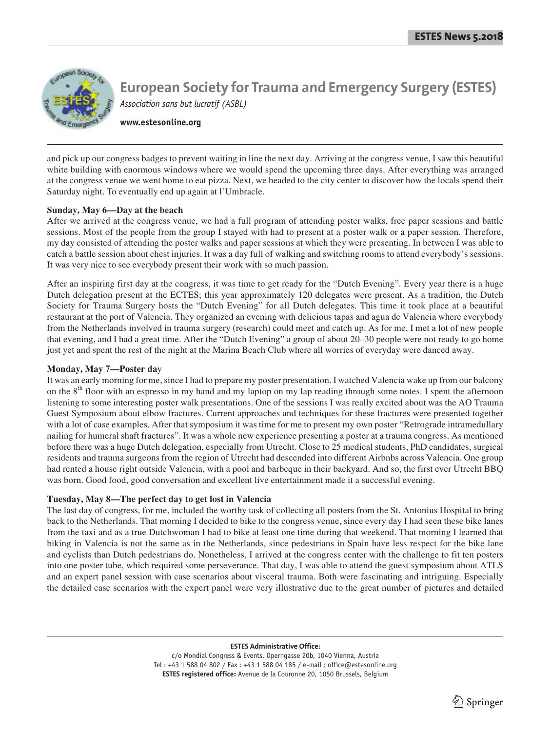

**www.estesonline.org**

and pick up our congress badges to prevent waiting in line the next day. Arriving at the congress venue, I saw this beautiful white building with enormous windows where we would spend the upcoming three days. After everything was arranged at the congress venue we went home to eat pizza. Next, we headed to the city center to discover how the locals spend their Saturday night. To eventually end up again at l'Umbracle.

# **Sunday, May 6—Day at the beach**

After we arrived at the congress venue, we had a full program of attending poster walks, free paper sessions and battle sessions. Most of the people from the group I stayed with had to present at a poster walk or a paper session. Therefore, my day consisted of attending the poster walks and paper sessions at which they were presenting. In between I was able to catch a battle session about chest injuries. It was a day full of walking and switching rooms to attend everybody's sessions. It was very nice to see everybody present their work with so much passion.

After an inspiring first day at the congress, it was time to get ready for the "Dutch Evening". Every year there is a huge Dutch delegation present at the ECTES; this year approximately 120 delegates were present. As a tradition, the Dutch Society for Trauma Surgery hosts the "Dutch Evening" for all Dutch delegates. This time it took place at a beautiful restaurant at the port of Valencia. They organized an evening with delicious tapas and agua de Valencia where everybody from the Netherlands involved in trauma surgery (research) could meet and catch up. As for me, I met a lot of new people that evening, and I had a great time. After the "Dutch Evening" a group of about 20–30 people were not ready to go home just yet and spent the rest of the night at the Marina Beach Club where all worries of everyday were danced away.

# **Monday, May 7—Poster da**y

It was an early morning for me, since I had to prepare my poster presentation. I watched Valencia wake up from our balcony on the 8<sup>th</sup> floor with an espresso in my hand and my laptop on my lap reading through some notes. I spent the afternoon listening to some interesting poster walk presentations. One of the sessions I was really excited about was the AO Trauma Guest Symposium about elbow fractures. Current approaches and techniques for these fractures were presented together with a lot of case examples. After that symposium it was time for me to present my own poster "Retrograde intramedullary nailing for humeral shaft fractures". It was a whole new experience presenting a poster at a trauma congress. As mentioned before there was a huge Dutch delegation, especially from Utrecht. Close to 25 medical students, PhD candidates, surgical residents and trauma surgeons from the region of Utrecht had descended into different Airbnbs across Valencia. One group had rented a house right outside Valencia, with a pool and barbeque in their backyard. And so, the first ever Utrecht BBQ was born. Good food, good conversation and excellent live entertainment made it a successful evening.

# **Tuesday, May 8—The perfect day to get lost in Valencia**

The last day of congress, for me, included the worthy task of collecting all posters from the St. Antonius Hospital to bring back to the Netherlands. That morning I decided to bike to the congress venue, since every day I had seen these bike lanes from the taxi and as a true Dutchwoman I had to bike at least one time during that weekend. That morning I learned that biking in Valencia is not the same as in the Netherlands, since pedestrians in Spain have less respect for the bike lane and cyclists than Dutch pedestrians do. Nonetheless, I arrived at the congress center with the challenge to fit ten posters into one poster tube, which required some perseverance. That day, I was able to attend the guest symposium about ATLS and an expert panel session with case scenarios about visceral trauma. Both were fascinating and intriguing. Especially the detailed case scenarios with the expert panel were very illustrative due to the great number of pictures and detailed

### **ESTES Administrative Office:**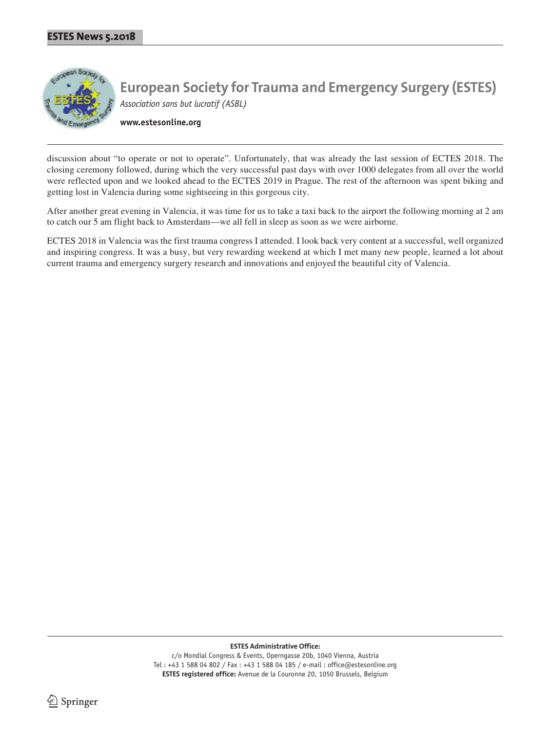

**www.estesonline.org**

discussion about "to operate or not to operate". Unfortunately, that was already the last session of ECTES 2018. The closing ceremony followed, during which the very successful past days with over 1000 delegates from all over the world were reflected upon and we looked ahead to the ECTES 2019 in Prague. The rest of the afternoon was spent biking and getting lost in Valencia during some sightseeing in this gorgeous city.

After another great evening in Valencia, it was time for us to take a taxi back to the airport the following morning at 2 am to catch our 5 am flight back to Amsterdam—we all fell in sleep as soon as we were airborne.

ECTES 2018 in Valencia was the first trauma congress I attended. I look back very content at a successful, well organized and inspiring congress. It was a busy, but very rewarding weekend at which I met many new people, learned a lot about current trauma and emergency surgery research and innovations and enjoyed the beautiful city of Valencia.

**ESTES Administrative Office:**